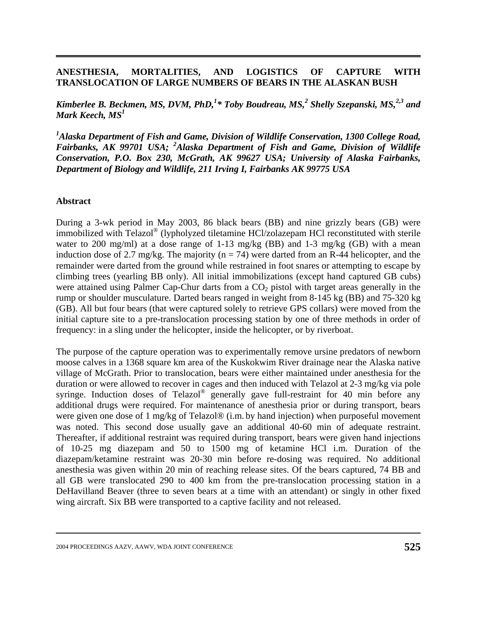## **ANESTHESIA, MORTALITIES, AND LOGISTICS OF CAPTURE WITH TRANSLOCATION OF LARGE NUMBERS OF BEARS IN THE ALASKAN BUSH**

*Kimberlee B. Beckmen, MS, DVM, PhD,<sup>1</sup> \* Toby Boudreau, MS,2 Shelly Szepanski, MS,2,3 and Mark Keech, MS1*

<sup>1</sup> Alaska Department of Fish and Game, Division of Wildlife Conservation, 1300 College Road, Fairbanks, AK 99701 USA; <sup>2</sup>Alaska Department of Fish and Game, Division of Wildlife *Conservation, P.O. Box 230, McGrath, AK 99627 USA; University of Alaska Fairbanks, Department of Biology and Wildlife, 211 Irving I, Fairbanks AK 99775 USA* 

## **Abstract**

During a 3-wk period in May 2003, 86 black bears (BB) and nine grizzly bears (GB) were immobilized with Telazol® (lypholyzed tiletamine HCl/zolazepam HCl reconstituted with sterile water to 200 mg/ml) at a dose range of 1-13 mg/kg (BB) and 1-3 mg/kg (GB) with a mean induction dose of 2.7 mg/kg. The majority ( $n = 74$ ) were darted from an R-44 helicopter, and the remainder were darted from the ground while restrained in foot snares or attempting to escape by climbing trees (yearling BB only). All initial immobilizations (except hand captured GB cubs) were attained using Palmer Cap-Chur darts from a  $CO<sub>2</sub>$  pistol with target areas generally in the rump or shoulder musculature. Darted bears ranged in weight from 8-145 kg (BB) and 75-320 kg (GB). All but four bears (that were captured solely to retrieve GPS collars) were moved from the initial capture site to a pre-translocation processing station by one of three methods in order of frequency: in a sling under the helicopter, inside the helicopter, or by riverboat.

The purpose of the capture operation was to experimentally remove ursine predators of newborn moose calves in a 1368 square km area of the Kuskokwim River drainage near the Alaska native village of McGrath. Prior to translocation, bears were either maintained under anesthesia for the duration or were allowed to recover in cages and then induced with Telazol at 2-3 mg/kg via pole syringe. Induction doses of Telazol® generally gave full-restraint for 40 min before any additional drugs were required. For maintenance of anesthesia prior or during transport, bears were given one dose of 1 mg/kg of Telazol® (i.m. by hand injection) when purposeful movement was noted. This second dose usually gave an additional 40-60 min of adequate restraint. Thereafter, if additional restraint was required during transport, bears were given hand injections of 10-25 mg diazepam and 50 to 1500 mg of ketamine HCl i.m. Duration of the diazepam/ketamine restraint was 20-30 min before re-dosing was required. No additional anesthesia was given within 20 min of reaching release sites. Of the bears captured, 74 BB and all GB were translocated 290 to 400 km from the pre-translocation processing station in a DeHavilland Beaver (three to seven bears at a time with an attendant) or singly in other fixed wing aircraft. Six BB were transported to a captive facility and not released.

<sup>2004</sup> PROCEEDINGS AAZV, AAWV, WDA JOINT CONFERENCE **525**